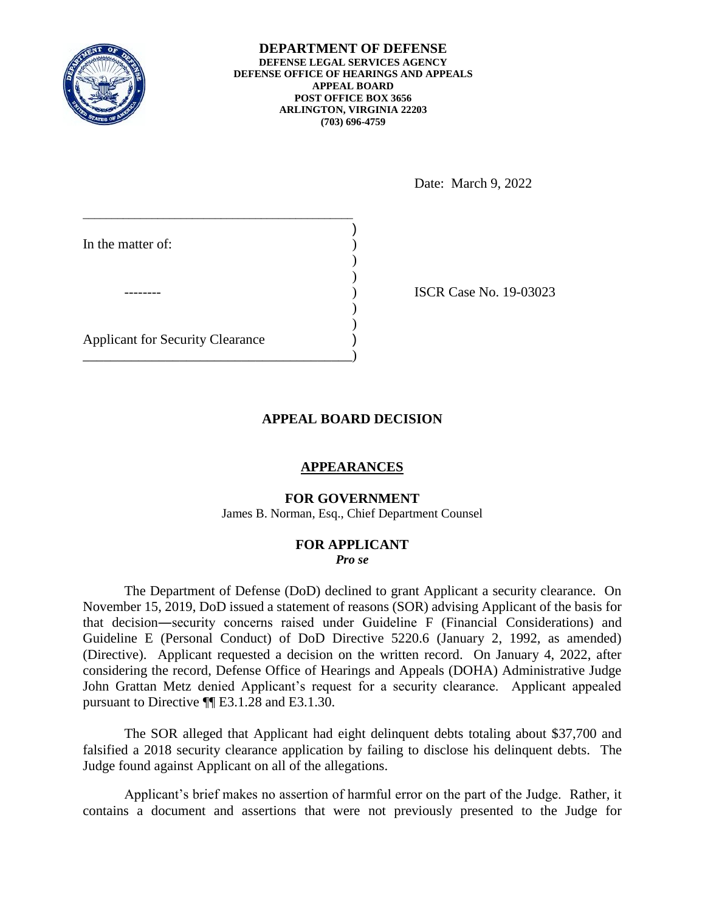

**DEPARTMENT OF DEFENSE DEFENSE LEGAL SERVICES AGENCY DEFENSE OFFICE OF HEARINGS AND APPEALS APPEAL BOARD POST OFFICE BOX 3656 ARLINGTON, VIRGINIA 22203 (703) 696-4759** 

Date: March 9, 2022

| In the matter of:                       |  |
|-----------------------------------------|--|
|                                         |  |
|                                         |  |
| <b>Applicant for Security Clearance</b> |  |

15CR Case No. 19-03023

# **APPEAL BOARD DECISION**

### **APPEARANCES**

### **FOR GOVERNMENT**

James B. Norman, Esq., Chief Department Counsel

#### **FOR APPLICANT**  *Pro se*

 The Department of Defense (DoD) declined to grant Applicant a security clearance. On Guideline E (Personal Conduct) of DoD Directive 5220.6 (January 2, 1992, as amended) considering the record, Defense Office of Hearings and Appeals (DOHA) Administrative Judge John Grattan Metz denied Applicant's request for a security clearance. Applicant appealed pursuant to Directive ¶¶ E3.1.28 and E3.1.30. November 15, 2019, DoD issued a statement of reasons (SOR) advising Applicant of the basis for that decision―security concerns raised under Guideline F (Financial Considerations) and (Directive). Applicant requested a decision on the written record. On January 4, 2022, after

 falsified a 2018 security clearance application by failing to disclose his delinquent debts. The The SOR alleged that Applicant had eight delinquent debts totaling about \$37,700 and Judge found against Applicant on all of the allegations.

 Applicant's brief makes no assertion of harmful error on the part of the Judge. Rather, it contains a document and assertions that were not previously presented to the Judge for